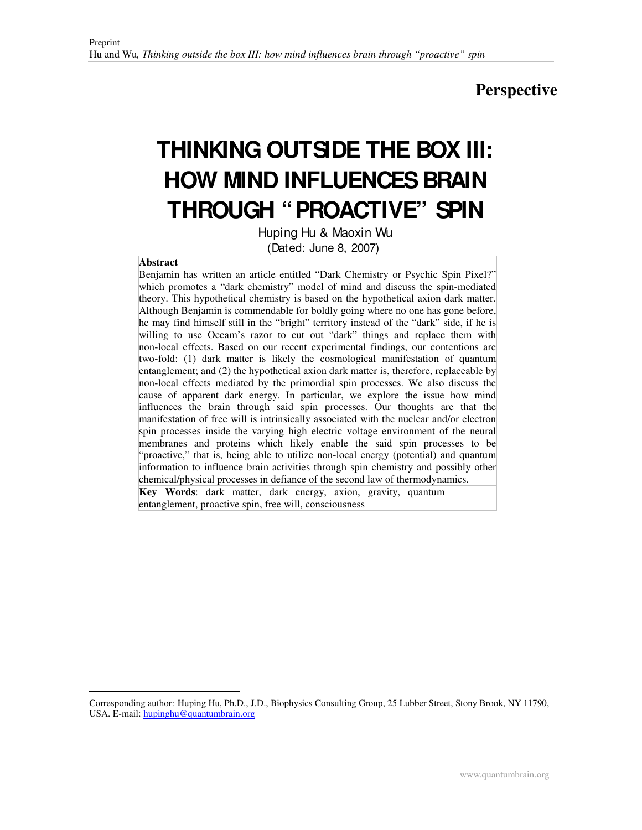## **Perspective**

# **THINKING OUTSIDE THE BOX III: HOW MIND INFLUENCES BRAIN THROUGH "PROACTIVE" SPIN**

Huping Hu & Maoxin Wu (Dated: June 8, 2007)

#### **Abstract**

 $\overline{a}$ 

Benjamin has written an article entitled "Dark Chemistry or Psychic Spin Pixel?" which promotes a "dark chemistry" model of mind and discuss the spin-mediated theory. This hypothetical chemistry is based on the hypothetical axion dark matter. Although Benjamin is commendable for boldly going where no one has gone before, he may find himself still in the "bright" territory instead of the "dark" side, if he is willing to use Occam's razor to cut out "dark" things and replace them with non-local effects. Based on our recent experimental findings, our contentions are two-fold: (1) dark matter is likely the cosmological manifestation of quantum entanglement; and (2) the hypothetical axion dark matter is, therefore, replaceable by non-local effects mediated by the primordial spin processes. We also discuss the cause of apparent dark energy. In particular, we explore the issue how mind influences the brain through said spin processes. Our thoughts are that the manifestation of free will is intrinsically associated with the nuclear and/or electron spin processes inside the varying high electric voltage environment of the neural membranes and proteins which likely enable the said spin processes to be "proactive," that is, being able to utilize non-local energy (potential) and quantum information to influence brain activities through spin chemistry and possibly other chemical/physical processes in defiance of the second law of thermodynamics.

**Key Words**: dark matter, dark energy, axion, gravity, quantum entanglement, proactive spin, free will, consciousness

Corresponding author: <sup>1</sup>Huping Hu, Ph.D., J.D., Biophysics Consulting Group, 25 Lubber Street, Stony Brook, NY 11790, USA. E-mail: hupinghu@quantumbrain.org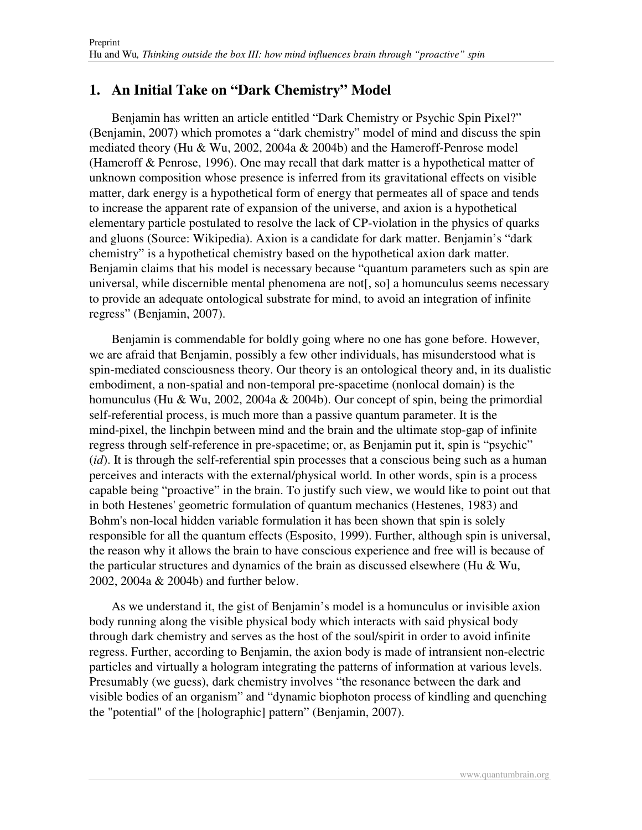#### **1. An Initial Take on "Dark Chemistry" Model**

Benjamin has written an article entitled "Dark Chemistry or Psychic Spin Pixel?" (Benjamin, 2007) which promotes a "dark chemistry" model of mind and discuss the spin mediated theory (Hu & Wu, 2002, 2004a & 2004b) and the Hameroff-Penrose model (Hameroff & Penrose, 1996). One may recall that dark matter is a hypothetical matter of unknown composition whose presence is inferred from its gravitational effects on visible matter, dark energy is a hypothetical form of energy that permeates all of space and tends to increase the apparent rate of expansion of the universe, and axion is a hypothetical elementary particle postulated to resolve the lack of CP-violation in the physics of quarks and gluons (Source: Wikipedia). Axion is a candidate for dark matter. Benjamin's " dark chemistry" is a hypothetical chemistry based on the hypothetical axion dark matter. Benjamin claims that his model is necessary because " quantum parameters such as spin are universal, while discernible mental phenomena are not[, so] a homunculus seems necessary to provide an adequate ontological substrate for mind, to avoid an integration of infinite regress" (Benjamin, 2007).

Benjamin is commendable for boldly going where no one has gone before. However, we are afraid that Benjamin, possibly a few other individuals, has misunderstood what is spin-mediated consciousness theory. Our theory is an ontological theory and, in its dualistic embodiment, a non-spatial and non-temporal pre-spacetime (nonlocal domain) is the homunculus (Hu & Wu, 2002, 2004a & 2004b). Our concept of spin, being the primordial self-referential process, is much more than a passive quantum parameter. It is the mind-pixel, the linchpin between mind and the brain and the ultimate stop-gap of infinite regress through self-reference in pre-spacetime; or, as Benjamin put it, spin is "psychic" (*id*). It is through the self-referential spin processes that a conscious being such as a human perceives and interacts with the external/physical world. In other words, spin is a process capable being "proactive" in the brain. To justify such view, we would like to point out that in both Hestenes'geometric formulation of quantum mechanics (Hestenes, 1983) and Bohm's non-local hidden variable formulation it has been shown that spin is solely responsible for all the quantum effects (Esposito, 1999). Further, although spin is universal, the reason why it allows the brain to have conscious experience and free will is because of the particular structures and dynamics of the brain as discussed elsewhere (Hu  $& Wu,$ 2002, 2004a & 2004b) and further below.

As we understand it, the gist of Benjamin's model is a homunculus or invisible axion body running along the visible physical body which interacts with said physical body through dark chemistry and serves as the host of the soul/spirit in order to avoid infinite regress. Further, according to Benjamin, the axion body is made of intransient non-electric particles and virtually a hologram integrating the patterns of information at various levels. Presumably (we guess), dark chemistry involves "the resonance between the dark and visible bodies of an organism" and "dynamic biophoton process of kindling and quenching the "potential" of the [holographic] pattern" (Benjamin, 2007).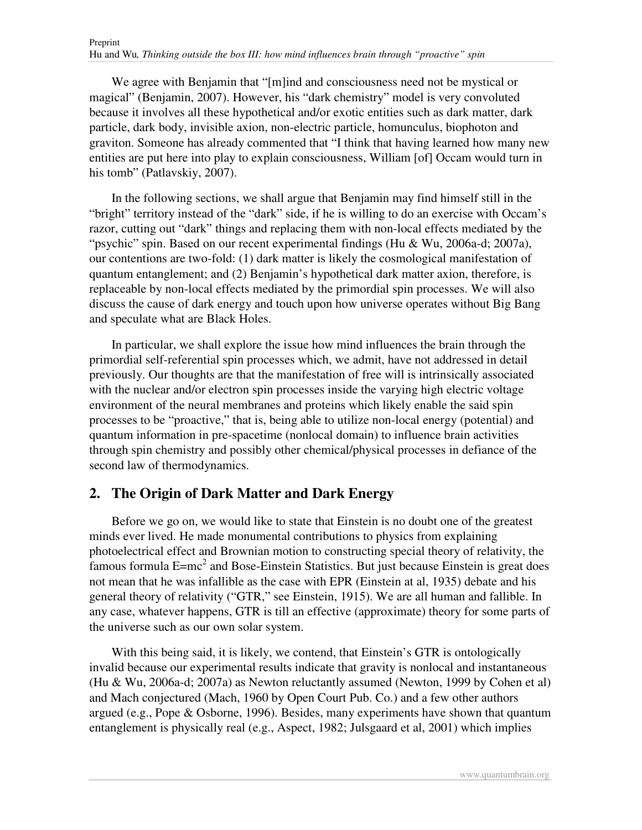We agree with Benjamin that "[m]ind and consciousness need not be mystical or magical" (Benjamin, 2007). However, his "dark chemistry" model is very convoluted because it involves all these hypothetical and/or exotic entities such as dark matter, dark particle, dark body, invisible axion, non-electric particle, homunculus, biophoton and graviton. Someone has already commented that " I think that having learned how many new entities are put here into play to explain consciousness, William [of] Occam would turn in his tomb" (Patlavskiy, 2007).

In the following sections, we shall argue that Benjamin may find himself still in the " bright" territory instead of the "dark" side, if he is willing to do an exercise with Occam's razor, cutting out "dark" things and replacing them with non-local effects mediated by the " psychic" spin. Based on our recent experimental findings (Hu & Wu, 2006a-d; 2007a), our contentions are two-fold: (1) dark matter is likely the cosmological manifestation of quantum entanglement; and (2) Benjamin's hypothetical dark matter axion, therefore, is replaceable by non-local effects mediated by the primordial spin processes. We will also discuss the cause of dark energy and touch upon how universe operates without Big Bang and speculate what are Black Holes.

In particular, we shall explore the issue how mind influences the brain through the primordial self-referential spin processes which, we admit, have not addressed in detail previously. Our thoughts are that the manifestation of free will is intrinsically associated with the nuclear and/or electron spin processes inside the varying high electric voltage environment of the neural membranes and proteins which likely enable the said spin processes to be "proactive," that is, being able to utilize non-local energy (potential) and quantum information in pre-spacetime (nonlocal domain) to influence brain activities through spin chemistry and possibly other chemical/physical processes in defiance of the second law of thermodynamics.

#### **2. The Origin of Dark Matter and Dark Energy**

Before we go on, we would like to state that Einstein is no doubt one of the greatest minds ever lived. He made monumental contributions to physics from explaining photoelectrical effect and Brownian motion to constructing special theory of relativity, the famous formula  $E=mc^2$  and Bose-Einstein Statistics. But just because Einstein is great does not mean that he was infallible as the case with EPR (Einstein at al, 1935) debate and his general theory of relativity ("GTR," see Einstein, 1915). We are all human and fallible. In any case, whatever happens, GTR is till an effective (approximate) theory for some parts of the universe such as our own solar system.

With this being said, it is likely, we contend, that Einstein's GTR is ontologically invalid because our experimental results indicate that gravity is nonlocal and instantaneous (Hu & Wu, 2006a-d; 2007a) as Newton reluctantly assumed (Newton, 1999 by Cohen et al) and Mach conjectured (Mach, 1960 by Open Court Pub. Co.) and a few other authors argued (e.g., Pope & Osborne, 1996). Besides, many experiments have shown that quantum entanglement is physically real (e.g., Aspect, 1982; Julsgaard et al, 2001) which implies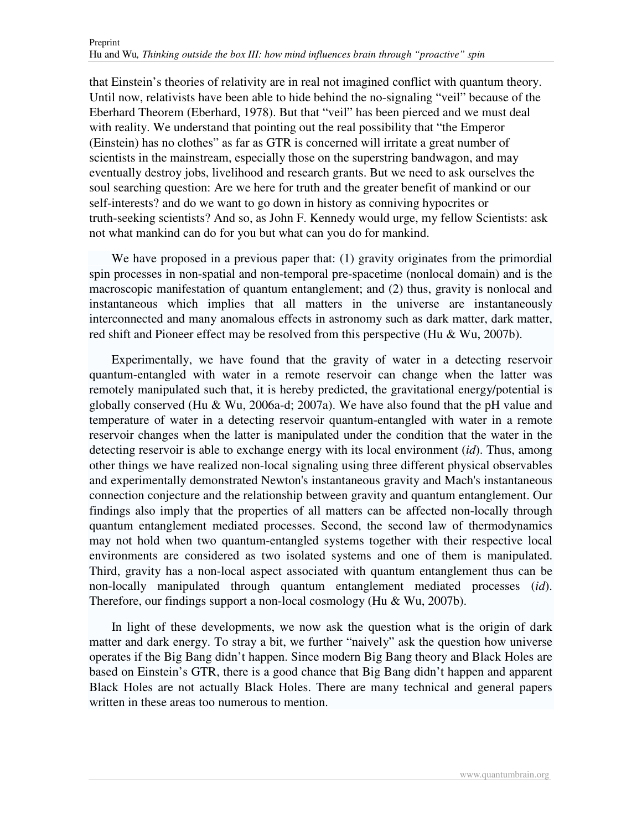that Einstein's theories of relativity are in real not imagined conflict with quantum theory. Until now, relativists have been able to hide behind the no-signaling " veil" because of the Eberhard Theorem (Eberhard, 1978). But that " veil" has been pierced and we must deal with reality. We understand that pointing out the real possibility that "the Emperor" (Einstein) has no clothes" as far as GTR is concerned will irritate a great number of scientists in the mainstream, especially those on the superstring bandwagon, and may eventually destroy jobs, livelihood and research grants. But we need to ask ourselves the soul searching question: Are we here for truth and the greater benefit of mankind or our self-interests? and do we want to go down in history as conniving hypocrites or truth-seeking scientists? And so, as John F. Kennedy would urge, my fellow Scientists: ask not what mankind can do for you but what can you do for mankind.

We have proposed in a previous paper that: (1) gravity originates from the primordial spin processes in non-spatial and non-temporal pre-spacetime (nonlocal domain) and is the macroscopic manifestation of quantum entanglement; and (2) thus, gravity is nonlocal and instantaneous which implies that all matters in the universe are instantaneously interconnected and many anomalous effects in astronomy such as dark matter, dark matter, red shift and Pioneer effect may be resolved from this perspective (Hu & Wu, 2007b).

Experimentally, we have found that the gravity of water in a detecting reservoir quantum-entangled with water in a remote reservoir can change when the latter was remotely manipulated such that, it is hereby predicted, the gravitational energy/potential is globally conserved (Hu & Wu, 2006a-d; 2007a). We have also found that the pH value and temperature of water in a detecting reservoir quantum-entangled with water in a remote reservoir changes when the latter is manipulated under the condition that the water in the detecting reservoir is able to exchange energy with its local environment (*id*). Thus, among other things we have realized non-local signaling using three different physical observables and experimentally demonstrated Newton's instantaneous gravity and Mach's instantaneous connection conjecture and the relationship between gravity and quantum entanglement. Our findings also imply that the properties of all matters can be affected non-locally through quantum entanglement mediated processes. Second, the second law of thermodynamics may not hold when two quantum-entangled systems together with their respective local environments are considered as two isolated systems and one of them is manipulated. Third, gravity has a non-local aspect associated with quantum entanglement thus can be non-locally manipulated through quantum entanglement mediated processes (*id*). Therefore, our findings support a non-local cosmology (Hu & Wu, 2007b).

In light of these developments, we now ask the question what is the origin of dark matter and dark energy. To stray a bit, we further "naively" ask the question how universe operates if the Big Bang didn't happen. Since modern Big Bang theory and Black Holes are based on Einstein's GTR, there is a good chance that Big Bang didn't happen and apparent Black Holes are not actually Black Holes. There are many technical and general papers written in these areas too numerous to mention.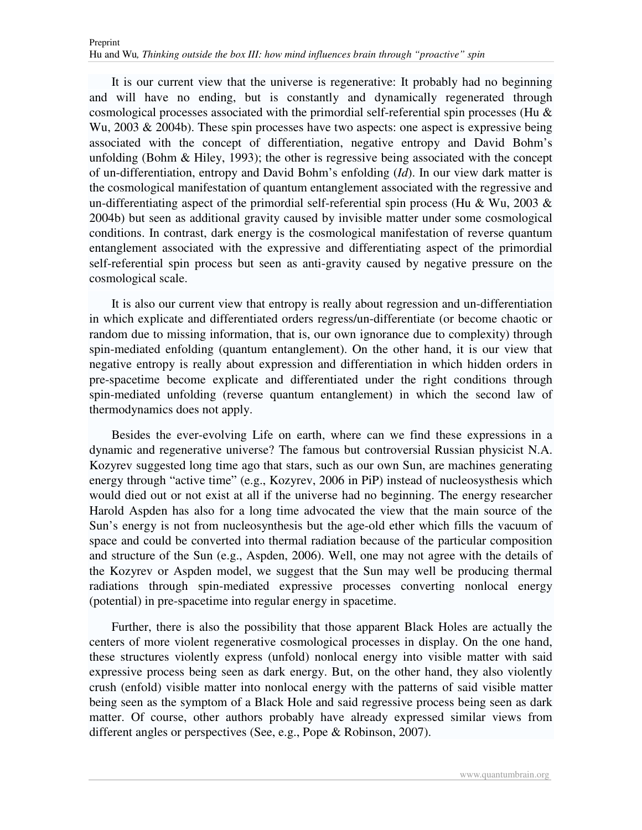It is our current view that the universe is regenerative: It probably had no beginning and will have no ending, but is constantly and dynamically regenerated through cosmological processes associated with the primordial self-referential spin processes (Hu & Wu,  $2003 \& 2004$ b). These spin processes have two aspects: one aspect is expressive being associated with the concept of differentiation, negative entropy and David Bohm's unfolding (Bohm  $\&$  Hiley, 1993); the other is regressive being associated with the concept of un-differentiation, entropy and David Bohm's enfolding (*Id*). In our view dark matter is the cosmological manifestation of quantum entanglement associated with the regressive and un-differentiating aspect of the primordial self-referential spin process (Hu & Wu, 2003  $\&$ 2004b) but seen as additional gravity caused by invisible matter under some cosmological conditions. In contrast, dark energy is the cosmological manifestation of reverse quantum entanglement associated with the expressive and differentiating aspect of the primordial self-referential spin process but seen as anti-gravity caused by negative pressure on the cosmological scale.

It is also our current view that entropy is really about regression and un-differentiation in which explicate and differentiated orders regress/un-differentiate (or become chaotic or random due to missing information, that is, our own ignorance due to complexity) through spin-mediated enfolding (quantum entanglement). On the other hand, it is our view that negative entropy is really about expression and differentiation in which hidden orders in pre-spacetime become explicate and differentiated under the right conditions through spin-mediated unfolding (reverse quantum entanglement) in which the second law of thermodynamics does not apply.

Besides the ever-evolving Life on earth, where can we find these expressions in a dynamic and regenerative universe? The famous but controversial Russian physicist N.A. Kozyrev suggested long time ago that stars, such as our own Sun, are machines generating energy through "active time" (e.g., Kozyrev, 2006 in PiP) instead of nucleosysthesis which would died out or not exist at all if the universe had no beginning. The energy researcher Harold Aspden has also for a long time advocated the view that the main source of the Sun's energy is not from nucleosynthesis but the age-old ether which fills the vacuum of space and could be converted into thermal radiation because of the particular composition and structure of the Sun (e.g., Aspden, 2006). Well, one may not agree with the details of the Kozyrev or Aspden model, we suggest that the Sun may well be producing thermal radiations through spin-mediated expressive processes converting nonlocal energy (potential) in pre-spacetime into regular energy in spacetime.

Further, there is also the possibility that those apparent Black Holes are actually the centers of more violent regenerative cosmological processes in display. On the one hand, these structures violently express (unfold) nonlocal energy into visible matter with said expressive process being seen as dark energy. But, on the other hand, they also violently crush (enfold) visible matter into nonlocal energy with the patterns of said visible matter being seen as the symptom of a Black Hole and said regressive process being seen as dark matter. Of course, other authors probably have already expressed similar views from different angles or perspectives (See, e.g., Pope & Robinson, 2007).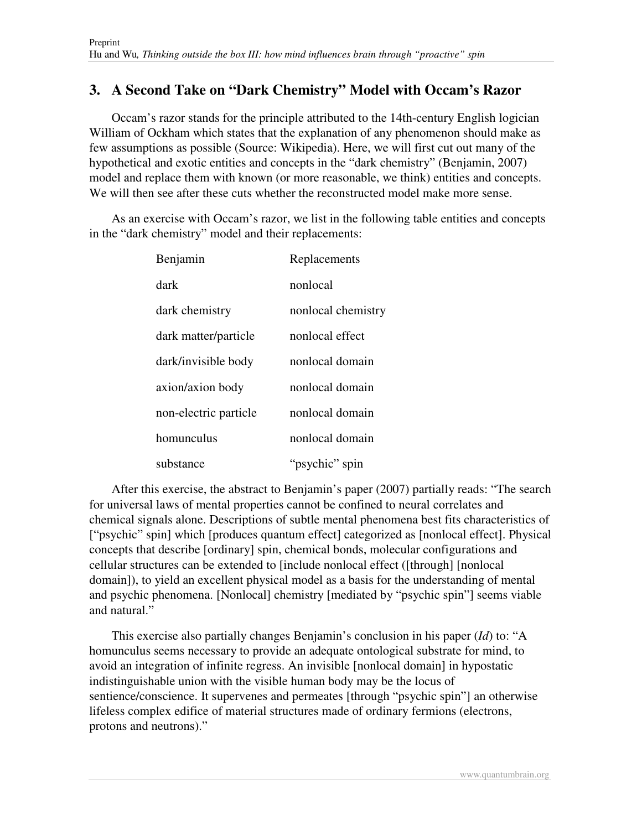### **3. A Second Take on "Dark Chemistry" Model with Occam's Razor**

Occam's razor stands for the principle attributed to the 14th-century English logician William of Ockham which states that the explanation of any phenomenon should make as few assumptions as possible (Source: Wikipedia). Here, we will first cut out many of the hypothetical and exotic entities and concepts in the "dark chemistry" (Benjamin, 2007) model and replace them with known (or more reasonable, we think) entities and concepts. We will then see after these cuts whether the reconstructed model make more sense.

As an exercise with Occam's razor, we list in the following table entities and concepts in the "dark chemistry" model and their replacements:

| Benjamin              | Replacements       |
|-----------------------|--------------------|
| dark                  | nonlocal           |
| dark chemistry        | nonlocal chemistry |
| dark matter/particle  | nonlocal effect    |
| dark/invisible body   | nonlocal domain    |
| axion/axion body      | nonlocal domain    |
| non-electric particle | nonlocal domain    |
| homunculus            | nonlocal domain    |
| substance             | "psychic" spin     |

After this exercise, the abstract to Benjamin's paper (2007) partially reads: "The search for universal laws of mental properties cannot be confined to neural correlates and chemical signals alone. Descriptions of subtle mental phenomena best fits characteristics of [" psychic" spin] which [produces quantum effect] categorized as [nonlocal effect]. Physical concepts that describe [ordinary] spin, chemical bonds, molecular configurations and cellular structures can be extended to [include nonlocal effect ([through] [nonlocal domain]), to yield an excellent physical model as a basis for the understanding of mental and psychic phenomena. [Nonlocal] chemistry [mediated by " psychic spin"] seems viable and natural."

This exercise also partially changes Benjamin's conclusion in his paper (*Id*) to: " A homunculus seems necessary to provide an adequate ontological substrate for mind, to avoid an integration of infinite regress. An invisible [nonlocal domain] in hypostatic indistinguishable union with the visible human body may be the locus of sentience/conscience. It supervenes and permeates [through " psychic spin"] an otherwise lifeless complex edifice of material structures made of ordinary fermions (electrons, protons and neutrons)."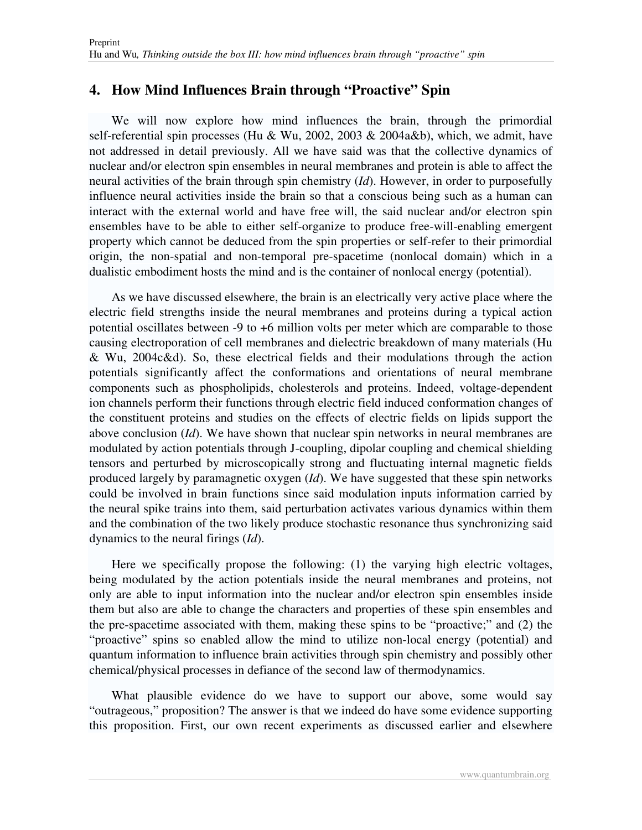#### **4. How Mind Influences Brain through "Proactive" Spin**

We will now explore how mind influences the brain, through the primordial self-referential spin processes (Hu & Wu, 2002, 2003 & 2004a&b), which, we admit, have not addressed in detail previously. All we have said was that the collective dynamics of nuclear and/or electron spin ensembles in neural membranes and protein is able to affect the neural activities of the brain through spin chemistry (*Id*). However, in order to purposefully influence neural activities inside the brain so that a conscious being such as a human can interact with the external world and have free will, the said nuclear and/or electron spin ensembles have to be able to either self-organize to produce free-will-enabling emergent property which cannot be deduced from the spin properties or self-refer to their primordial origin, the non-spatial and non-temporal pre-spacetime (nonlocal domain) which in a dualistic embodiment hosts the mind and is the container of nonlocal energy (potential).

As we have discussed elsewhere, the brain is an electrically very active place where the electric field strengths inside the neural membranes and proteins during a typical action potential oscillates between -9 to +6 million volts per meter which are comparable to those causing electroporation of cell membranes and dielectric breakdown of many materials (Hu & Wu, 2004c&d). So, these electrical fields and their modulations through the action potentials significantly affect the conformations and orientations of neural membrane components such as phospholipids, cholesterols and proteins. Indeed, voltage-dependent ion channels perform their functions through electric field induced conformation changes of the constituent proteins and studies on the effects of electric fields on lipids support the above conclusion (*Id*). We have shown that nuclear spin networks in neural membranes are modulated by action potentials through J-coupling, dipolar coupling and chemical shielding tensors and perturbed by microscopically strong and fluctuating internal magnetic fields produced largely by paramagnetic oxygen (*Id*). We have suggested that these spin networks could be involved in brain functions since said modulation inputs information carried by the neural spike trains into them, said perturbation activates various dynamics within them and the combination of the two likely produce stochastic resonance thus synchronizing said dynamics to the neural firings (*Id*).

Here we specifically propose the following: (1) the varying high electric voltages, being modulated by the action potentials inside the neural membranes and proteins, not only are able to input information into the nuclear and/or electron spin ensembles inside them but also are able to change the characters and properties of these spin ensembles and the pre-spacetime associated with them, making these spins to be "proactive;" and (2) the "proactive" spins so enabled allow the mind to utilize non-local energy (potential) and quantum information to influence brain activities through spin chemistry and possibly other chemical/physical processes in defiance of the second law of thermodynamics.

What plausible evidence do we have to support our above, some would say " outrageous," proposition? The answer is that we indeed do have some evidence supporting this proposition. First, our own recent experiments as discussed earlier and elsewhere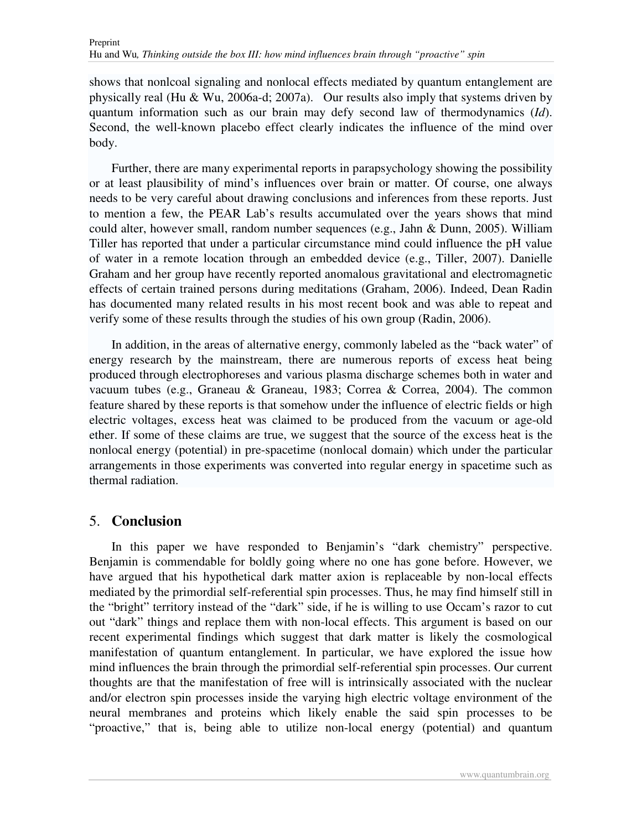shows that nonlcoal signaling and nonlocal effects mediated by quantum entanglement are physically real (Hu & Wu, 2006a-d; 2007a). Our results also imply that systems driven by quantum information such as our brain may defy second law of thermodynamics (*Id*). Second, the well-known placebo effect clearly indicates the influence of the mind over body.

Further, there are many experimental reports in parapsychology showing the possibility or at least plausibility of mind's influences over brain or matter. Of course, one always needs to be very careful about drawing conclusions and inferences from these reports. Just to mention a few, the PEAR Lab's results accumulated over the years shows that mind could alter, however small, random number sequences (e.g., Jahn & Dunn, 2005). William Tiller has reported that under a particular circumstance mind could influence the pH value of water in a remote location through an embedded device (e.g., Tiller, 2007). Danielle Graham and her group have recently reported anomalous gravitational and electromagnetic effects of certain trained persons during meditations (Graham, 2006). Indeed, Dean Radin has documented many related results in his most recent book and was able to repeat and verify some of these results through the studies of his own group (Radin, 2006).

In addition, in the areas of alternative energy, commonly labeled as the "back water" of energy research by the mainstream, there are numerous reports of excess heat being produced through electrophoreses and various plasma discharge schemes both in water and vacuum tubes (e.g., Graneau & Graneau, 1983; Correa & Correa, 2004). The common feature shared by these reports is that somehow under the influence of electric fields or high electric voltages, excess heat was claimed to be produced from the vacuum or age-old ether. If some of these claims are true, we suggest that the source of the excess heat is the nonlocal energy (potential) in pre-spacetime (nonlocal domain) which under the particular arrangements in those experiments was converted into regular energy in spacetime such as thermal radiation.

#### 5. **Conclusion**

In this paper we have responded to Benjamin's "dark chemistry" perspective. Benjamin is commendable for boldly going where no one has gone before. However, we have argued that his hypothetical dark matter axion is replaceable by non-local effects mediated by the primordial self-referential spin processes. Thus, he may find himself still in the "bright" territory instead of the "dark" side, if he is willing to use Occam's razor to cut out "dark" things and replace them with non-local effects. This argument is based on our recent experimental findings which suggest that dark matter is likely the cosmological manifestation of quantum entanglement. In particular, we have explored the issue how mind influences the brain through the primordial self-referential spin processes. Our current thoughts are that the manifestation of free will is intrinsically associated with the nuclear and/or electron spin processes inside the varying high electric voltage environment of the neural membranes and proteins which likely enable the said spin processes to be "proactive," that is, being able to utilize non-local energy (potential) and quantum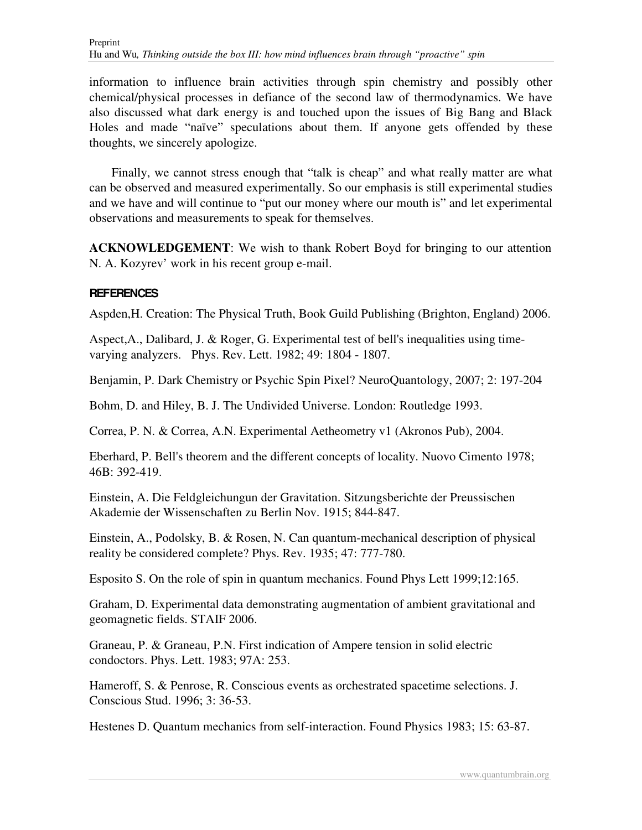information to influence brain activities through spin chemistry and possibly other chemical/physical processes in defiance of the second law of thermodynamics. We have also discussed what dark energy is and touched upon the issues of Big Bang and Black Holes and made "naïve" speculations about them. If anyone gets offended by these thoughts, we sincerely apologize.

Finally, we cannot stress enough that "talk is cheap" and what really matter are what can be observed and measured experimentally. So our emphasis is still experimental studies and we have and will continue to "put our money where our mouth is" and let experimental observations and measurements to speak for themselves.

**ACKNOWLEDGEMENT**: We wish to thank Robert Boyd for bringing to our attention N. A. Kozyrev' work in his recent group e-mail.

#### **REFERENCES**

Aspden,H. Creation: The Physical Truth, Book Guild Publishing (Brighton, England) 2006.

Aspect,A., Dalibard, J. & Roger, G. Experimental test of bell's inequalities using timevarying analyzers. Phys. Rev. Lett. 1982; 49: 1804 - 1807.

Benjamin, P. Dark Chemistry or Psychic Spin Pixel? NeuroQuantology, 2007; 2: 197-204

Bohm, D. and Hiley, B. J. The Undivided Universe. London: Routledge 1993.

Correa, P. N. & Correa, A.N. Experimental Aetheometry v1 (Akronos Pub), 2004.

Eberhard, P. Bell's theorem and the different concepts of locality. Nuovo Cimento 1978; 46B: 392-419.

Einstein, A. Die Feldgleichungun der Gravitation. Sitzungsberichte der Preussischen Akademie der Wissenschaften zu Berlin Nov. 1915; 844-847.

Einstein, A., Podolsky, B. & Rosen, N. Can quantum-mechanical description of physical reality be considered complete? Phys. Rev. 1935; 47: 777-780.

Esposito S. On the role of spin in quantum mechanics. Found Phys Lett 1999;12:165.

Graham, D. Experimental data demonstrating augmentation of ambient gravitational and geomagnetic fields. STAIF 2006.

Graneau, P. & Graneau, P.N. First indication of Ampere tension in solid electric condoctors. Phys. Lett. 1983; 97A: 253.

Hameroff, S. & Penrose, R. Conscious events as orchestrated spacetime selections. J. Conscious Stud. 1996; 3: 36-53.

Hestenes D. Quantum mechanics from self-interaction. Found Physics 1983; 15: 63-87.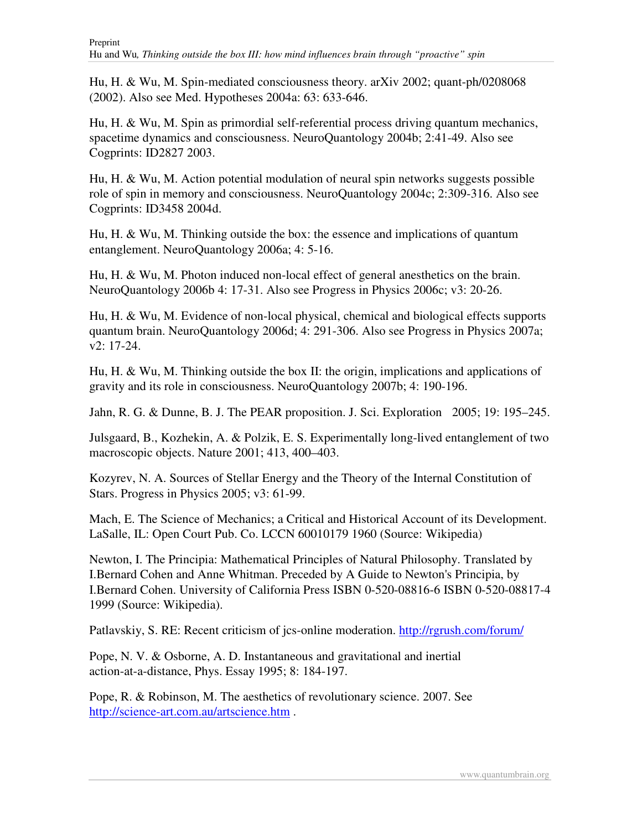Hu, H. & Wu, M. Spin-mediated consciousness theory. arXiv 2002; quant-ph/0208068 (2002). Also see Med. Hypotheses 2004a: 63: 633-646.

Hu, H. & Wu, M. Spin as primordial self-referential process driving quantum mechanics, spacetime dynamics and consciousness. NeuroQuantology 2004b; 2:41-49. Also see Cogprints: ID2827 2003.

Hu, H. & Wu, M. Action potential modulation of neural spin networks suggests possible role of spin in memory and consciousness. NeuroQuantology 2004c; 2:309-316. Also see Cogprints: ID3458 2004d.

Hu, H. & Wu, M. Thinking outside the box: the essence and implications of quantum entanglement. NeuroQuantology 2006a; 4: 5-16.

Hu, H. & Wu, M. Photon induced non-local effect of general anesthetics on the brain. NeuroQuantology 2006b 4: 17-31. Also see Progress in Physics 2006c; v3: 20-26.

Hu, H. & Wu, M. Evidence of non-local physical, chemical and biological effects supports quantum brain. NeuroQuantology 2006d; 4: 291-306. Also see Progress in Physics 2007a; v2: 17-24.

Hu, H. & Wu, M. Thinking outside the box II: the origin, implications and applications of gravity and its role in consciousness. NeuroQuantology 2007b; 4: 190-196.

Jahn, R. G. & Dunne, B. J. The PEAR proposition. J. Sci. Exploration 2005; 19: 195–245.

Julsgaard, B., Kozhekin, A. & Polzik, E. S. Experimentally long-lived entanglement of two macroscopic objects. Nature 2001; 413, 400–403.

Kozyrev, N. A. Sources of Stellar Energy and the Theory of the Internal Constitution of Stars. Progress in Physics 2005; v3: 61-99.

Mach, E. The Science of Mechanics; a Critical and Historical Account of its Development. LaSalle, IL: Open Court Pub. Co. LCCN 60010179 1960 (Source: Wikipedia)

Newton, I. The Principia: Mathematical Principles of Natural Philosophy. Translated by I.Bernard Cohen and Anne Whitman. Preceded by A Guide to Newton's Principia, by I.Bernard Cohen. University of California Press ISBN 0-520-08816-6 ISBN 0-520-08817-4 1999 (Source: Wikipedia).

Patlavskiy, S. RE: Recent criticism of jcs-online moderation. http://rgrush.com/forum/

Pope, N. V. & Osborne, A. D. Instantaneous and gravitational and inertial action-at-a-distance, Phys. Essay 1995; 8: 184-197.

Pope, R. & Robinson, M. The aesthetics of revolutionary science. 2007. See http://science-art.com.au/artscience.htm .